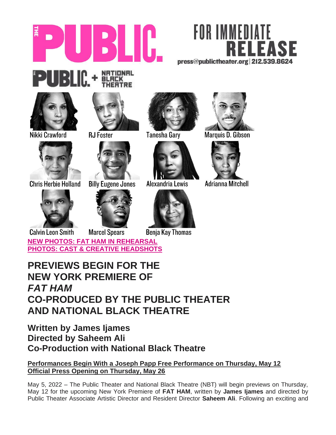



# NATIONAL<br>BLACK<br>THEATRE **PUBLIC +**



Nikki Crawford

**Chris Herbie Holland** 



**RJ Foster** 



**Billy Eugene Jones** 





**Tanesha Gary** 



Alexandria Lewis



**Benja Kay Thomas** 



Marquis D. Gibson



Adrianna Mitchell

**Calvin Leon Smith Marcel Spears [NEW PHOTOS: FAT HAM IN REHEARSAL](http://www.publictheater.org/about/press/21-22/fat-ham) [PHOTOS: CAST & CREATIVE HEADSHOTS](https://www.dropbox.com/sh/9fo4ebg0zjernys/AAAWhRJXDwPftXhHkvf0R1pTa?dl=0)** 

## **PREVIEWS BEGIN FOR THE NEW YORK PREMIERE OF** *FAT HAM* **CO-PRODUCED BY THE PUBLIC THEATER AND NATIONAL BLACK THEATRE**

### **Written by James Ijames Directed by Saheem Ali Co-Production with National Black Theatre**

### **Performances Begin With a Joseph Papp Free Performance on Thursday, May 12 Official Press Opening on Thursday, May 26**

May 5, 2022 – The Public Theater and National Black Theatre (NBT) will begin previews on Thursday, May 12 for the upcoming New York Premiere of **FAT HAM**, written by **James Ijames** and directed by Public Theater Associate Artistic Director and Resident Director **Saheem Ali**. Following an exciting and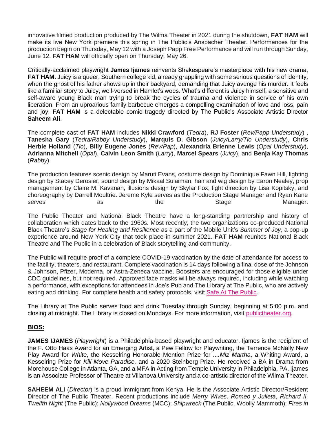innovative filmed production produced by The Wilma Theater in 2021 during the shutdown, **FAT HAM** will make its live New York premiere this spring in The Public's Anspacher Theater. Performances for the production begin on Thursday, May 12 with a Joseph Papp Free Performance and will run through Sunday, June 12. **FAT HAM** will officially open on Thursday, May 26.

Critically-acclaimed playwright **James Ijames** reinvents Shakespeare's masterpiece with his new drama, **FAT HAM**. Juicy is a queer, Southern college kid, already grappling with some serious questions of identity, when the ghost of his father shows up in their backyard, demanding that Juicy avenge his murder. It feels like a familiar story to Juicy, well-versed in Hamlet's woes. What's different is Juicy himself, a sensitive and self-aware young Black man trying to break the cycles of trauma and violence in service of his own liberation. From an uproarious family barbecue emerges a compelling examination of love and loss, pain and joy. **FAT HAM** is a delectable comic tragedy directed by The Public's Associate Artistic Director **Saheem Ali**.

The complete cast of **FAT HAM** includes **Nikki Crawford** (*Tedra*), **RJ Foster** (*Rev/Papp Understudy*) , **Tanesha Gary** (*Tedra/Rabby Understudy*), **Marquis D. Gibson** (*Juicy/Larry/Tio Understudy*), **Chris Herbie Holland** (*Tio*), **Billy Eugene Jones** (*Rev/Pap*), **Alexandria Brienne Lewis** (*Opal Understudy*), **Adrianna Mitchell** (*Opal*), **Calvin Leon Smith** (*Larry*), **Marcel Spears** (*Juicy*), and **Benja Kay Thomas** (*Rabby*).

The production features scenic design by Maruti Evans, costume design by Dominique Fawn Hill, lighting design by Stacey Derosier, sound design by Mikaal Sulaiman, hair and wig design by Earon Nealey, prop management by Claire M. Kavanah, illusions design by Skylar Fox, fight direction by Lisa Kopitsky, and choreography by Darrell Moultrie. Jereme Kyle serves as the Production Stage Manager and Ryan Kane serves as the Stage Manager.

The Public Theater and National Black Theatre have a long-standing partnership and history of collaboration which dates back to the 1960s. Most recently, the two organizations co-produced National Black Theatre's *Stage for Healing and Resilience* as a part of the Mobile Unit's *Summer of Joy*, a pop-up experience around New York City that took place in summer 2021. **FAT HAM** reunites National Black Theatre and The Public in a celebration of Black storytelling and community.

The Public will require proof of a complete COVID-19 vaccination by the date of attendance for access to the facility, theaters, and restaurant. Complete vaccination is 14 days following a final dose of the Johnson & Johnson, Pfizer, Moderna, or Astra-Zeneca vaccine. Boosters are encouraged for those eligible under CDC guidelines, but not required. Approved face masks will be always required, including while watching a performance, with exceptions for attendees in Joe's Pub and The Library at The Public, who are actively eating and drinking. For complete health and safety protocols, visit [Safe At The Public.](http://thepublic.nyc/safeatthepublic)

The Library at The Public serves food and drink Tuesday through Sunday, beginning at 5:00 p.m. and closing at midnight. The Library is closed on Mondays. For more information, visit [publictheater.org.](http://www.publictheater.org/)

#### **BIOS:**

**JAMES IJAMES** (*Playwright*) is a Philadelphia-based playwright and educator. Ijames is the recipient of the F. Otto Haas Award for an Emerging Artist, a Pew Fellow for Playwriting, the Terrence McNally New Play Award for *White*, the Kesselring Honorable Mention Prize for *....Miz Martha*, a Whiting Award, a Kesselring Prize for *Kill Move Paradise,* and a 2020 Steinberg Prize. He received a BA in Drama from Morehouse College in Atlanta, GA, and a MFA in Acting from Temple University in Philadelphia, PA. Ijames is an Associate Professor of Theatre at Villanova University and a co-artistic director of the Wilma Theater.

**SAHEEM ALI** (*Director*) is a proud immigrant from Kenya. He is the Associate Artistic Director/Resident Director of The Public Theater. Recent productions include *Merry Wives, Romeo y Julieta*, *Richard II, Twelfth Night* (The Public); *Nollywood Dreams* (MCC); *Shipwreck* (The Public, Woolly Mammoth); *Fires in*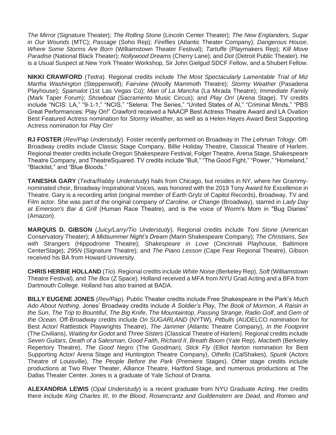*The Mirror* (Signature Theater); *The Rolling Stone* (Lincoln Center Theater); *The New Englanders, Sugar in Our Wounds* (MTC); *Passage* (Soho Rep); *Fireflies* (Atlantic Theater Company); *Dangerous House*, *Where Some Storms Are Born* (Williamstown Theater Festival); *Tartuffe* (Playmakers Rep); *Kill Move Paradise* (National Black Theater); *Nollywood Dreams* (Cherry Lane); and *Dot* (Detroit Public Theater). He is a Usual Suspect at New York Theater Workshop, Sir John Gielgud SDCF Fellow, and a Shubert Fellow.

**NIKKI CRAWFORD** (*Tedra*). Regional credits include *The Most Spectacularly Lamentable Trial of Miz Martha Washington* (Steppenwolf); *Fairview* (Woolly Mammoth Theatre); *Stormy Weather* (Pasadena Playhouse); *Spamalot* (1st Las Vegas Co); *Man of La Mancha* (La Mirada Theatre); *Immediate Family*  (Mark Taper Forum); *Showboat* (Sacramento Music Circus); and *Play On!* (Arena Stage). TV credits include "NCIS: LA," "9-1-1," "NCIS," "Selena: The Series," "United States of Al," "Criminal Minds," "PBS Great Performances: Play On!" Crawford received a NAACP Best Actress Theatre Award and LA Ovation Best Featured Actress nomination for *Stormy Weather*, as well as a Helen Hayes Award Best Supporting Actress nomination for *Play On!*

**RJ FOSTER** (*Rev/Pap Understudy*). Foster recently performed on Broadway in *The Lehman Trilogy*. Off-Broadway credits include Classic Stage Company, Billie Holiday Theatre, Classical Theatre of Harlem. Regional theater credits include Oregon Shakespeare Festival, Folger Theatre, Arena Stage, Shakespeare Theatre Company, and TheatreSquared. TV credits include "Bull," "The Good Fight," "Power," "Homeland," "Blacklist," and "Blue Bloods."

**TANESHA GARY** (*Tedra/Rabby Understudy*) hails from Chicago, but resides in NY, where her Grammynominated choir, Broadway Inspirational Voices, was honored with the 2019 Tony Award for Excellence in Theatre. Gary is a recording artist (original member of Earth Grylz of Capitol Records), Broadway, TV and Film actor. She was part of the original company *of Caroline, or Change* (Broadway), starred in *Lady Day at Emerson's Bar & Grill* (Human Race Theatre), and is the voice of Worm's Mom in "Bug Diaries" (Amazon).

**MARQUIS D. GIBSON** (*Juicy/Larry/Tio Understudy*). Regional credits include *Toni Stone* (American Conservatory Theater); *A Midsummer Night's Dream* (Marin Shakespeare Company); *The Christians, Sex with Strangers* (Hippodrome Theatre); *Shakespeare in Love* (Cincinnati Playhouse, Baltimore CenterStage); *295N* (Signature Theatre); and *The Piano Lesson* (Cape Fear Regional Theatre). Gibson received his BA from Howard University.

**CHRIS HERBIE HOLLAND** (*Tio*). Regional credits include *White Noise* (Berkeley Rep), *Soft* (Williamstown Theatre Festival), and *The Box* (Z Space). Holland received a MFA from NYU Grad Acting and a BFA from Dartmouth College. Holland has also trained at BADA.

**BILLY EUGENE JONES** (*Rev/Pap*). Public Theater credits include Free Shakespeare in the Park's *Much Ado About Nothing*. Jones' Broadway credits include *A Soldier's Play*, *The Book of Mormon*, *A Raisin in the Sun*, *The Trip to Bountiful*, *The Big Knife*, *The Mountaintop*, *Passing Strange*, *Radio Golf*, and *Gem of the Ocean*. Off-Broadway credits include *On SUGARLAND* (NYTW), *Pitbulls* (AUDELCO nomination for Best Actor/ Rattlestick Playwrights Theatre), *The Jammer* (Atlantic Theatre Company), *In the Footprint* (The Civilians), *Waiting for Godot* and *Three Sisters* (Classical Theatre of Harlem). Regional credits include *Seven Guitars*, *Death of a Salesman*, *Good Faith*, *Richard II*, *Breath Boom* (Yale Rep), *Macbeth* (Berkeley Repertory Theatre), *The Good Negro* (The Goodman), *Stick Fly* (Elliot Norton nomination for Best Supporting Actor/ Arena Stage and Huntington Theatre Company), *Othello* (CalShakes), *Spunk* (Actors Theatre of Louisville), *The People Before the Park* (Premiere Stages). Other stage credits include productions at Two River Theater, Alliance Theatre, Hartford Stage, and numerous productions at The Dallas Theater Center. Jones is a graduate of Yale School of Drama.

**ALEXANDRIA LEWIS** (*Opal Understudy*) is a recent graduate from NYU Graduate Acting. Her credits there include *King Charles III*, *In the Blood*, *Rosencrantz and Guildenstern are Dead,* and *Romeo and*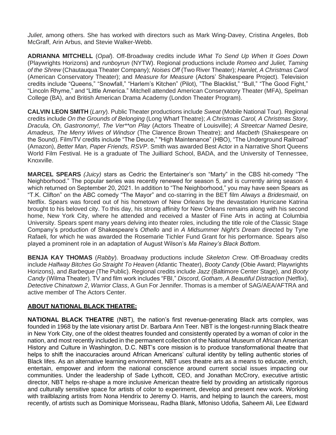*Juliet*, among others. She has worked with directors such as Mark Wing-Davey, Cristina Angeles, Bob McGraff, Arin Arbus, and Stevie Walker-Webb.

**ADRIANNA MITCHELL** (*Opal*). Off-Broadway credits include *What To Send Up When It Goes Down* (Playwrights Horizons) and *runboyrun* (NYTW). Regional productions include *Romeo and Juliet, Taming of the Shrew* (Chautauqua Theater Company); *Noises Off* (Two River Theater); *Hamlet, A Christmas Carol* (American Conservatory Theater); and *Measure for Measure* (Actors' Shakespeare Project). Television credits include "Queens," "Snowfall," "Harlem's Kitchen" (Pilot), "The Blacklist," "Bull," "The Good Fight," "Lincoln Rhyme," and "Little America." Mitchell attended American Conservatory Theater (MFA), Spelman College (BA), and British American Drama Academy (London Theater Program).

**CALVIN LEON SMITH** (*Larry*). Public Theater productions include *Sweat* (Mobile National Tour)*.* Regional credits include *On the Grounds of Belonging* (Long Wharf Theatre); *A Christmas Carol, A Christmas Story, Dracula, Oh, Gastronomy!, The Ver\*\*on Play* (Actors Theatre of Louisville); *A Streetcar Named Desire, Amadeus, The Merry Wives of Windsor* (The Clarence Brown Theatre); and *Macbeth* (Shakespeare on the Sound). Film/TV credits include "The Deuce," "High Maintenance" (HBO), "The Underground Railroad" (Amazon), *Better Man, Paper Friends, RSVP*. Smith was awarded Best Actor in a Narrative Short Queens World Film Festival. He is a graduate of The Juilliard School, BADA, and the University of Tennessee, Knoxville.

**MARCEL SPEARS** *(Juicy)* stars as Cedric the Entertainer's son "Marty" in the CBS hit-comedy "The Neighborhood." The popular series was recently renewed for season 5, and is currently airing season 4 which returned on September 20, 2021. In addition to "The Neighborhood," you may have seen Spears as "T.K. Clifton" on the ABC comedy "The Mayor" and co-starring in the BET film *Always a Bridesmaid*, on Netflix. Spears was forced out of his hometown of New Orleans by the devastation Hurricane Katrina brought to his beloved city. To this day, his strong affinity for New Orleans remains along with his second home, New York City, where he attended and received a Master of Fine Arts in acting at Columbia University. Spears spent many years delving into theater roles, including the title role of the Classic Stage Company's production of Shakespeare's *Othello* and in *A Midsummer Night's Dream* directed by Tyne Rafaeli, for which he was awarded the Rosemarie Tichler Fund Grant for his performance. Spears also played a prominent role in an adaptation of August Wilson's *Ma Rainey's Black Bottom*.

**BENJA KAY THOMAS** (*Rabby*). Broadway productions include *Skeleton Crew*. Off-Broadway credits include *Halfway Bitches Go Straight To Heaven* (Atlantic Theater), *Booty Candy* (Obie Award; Playwrights Horizons), and *Barbeque* (The Public). Regional credits include *Jazz* (Baltimore Center Stage), and *Booty Candy* (Wilma Theater). TV and film work includes "FBI," *Discord*, *Gotham*, *A Beautiful Distraction* (Netflix), *Detective Chinatown 2*, *Warrior Class*, A Gun For Jennifer. Thomas is a member of SAG/AEA/AFTRA and active member of The Actors Center.

#### **ABOUT NATIONAL BLACK THEATRE:**

**NATIONAL BLACK THEATRE** (NBT), the nation's first revenue-generating Black arts complex, was founded in 1968 by the late visionary artist Dr. Barbara Ann Teer. NBT is the longest-running Black theatre in New York City, one of the oldest theatres founded and consistently operated by a woman of color in the nation, and most recently included in the permanent collection of the National Museum of African American History and Culture in Washington, D.C. NBT's core mission is to produce transformational theatre that helps to shift the inaccuracies around African Americans' cultural identity by telling authentic stories of Black lifes. As an alternative learning environment, NBT uses theatre arts as a means to educate, enrich, entertain, empower and inform the national conscience around current social issues impacting our communities. Under the leadership of Sade Lythcott, CEO, and Jonathan McCrory, executive artistic director, NBT helps re-shape a more inclusive American theatre field by providing an artistically rigorous and culturally sensitive space for artists of color to experiment, develop and present new work. Working with trailblazing artists from Nona Hendrix to Jeremy O. Harris, and helping to launch the careers, most recently, of artists such as Dominique Morisseau, Radha Blank, Mfoniso Udofia, Saheem Ali, Lee Edward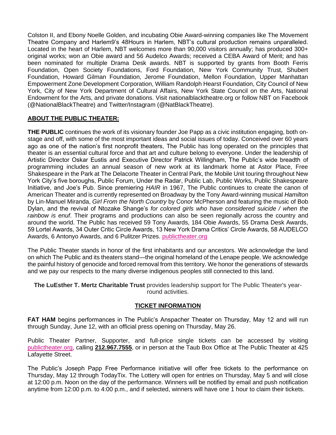Colston II, and Ebony Noelle Golden, and incubating Obie Award-winning companies like The Movement Theatre Company and Harlem9's 48Hours in Harlem, NBT's cultural production remains unparalleled. Located in the heart of Harlem, NBT welcomes more than 90,000 visitors annually; has produced 300+ original works; won an Obie award and 56 Audelco Awards; received a CEBA Award of Merit; and has been nominated for multiple Drama Desk awards. NBT is supported by grants from Booth Ferris Foundation, Open Society Foundations, Ford Foundation, New York Community Trust, Shubert Foundation, Howard Gilman Foundation, Jerome Foundation, Mellon Foundation, Upper Manhattan Empowerment Zone Development Corporation, William Randolph Hearst Foundation, City Council of New York, City of New York Department of Cultural Affairs, New York State Council on the Arts, National Endowment for the Arts, and private donations. Visit nationalblacktheatre.org or follow NBT on Facebook (@NationalBlackTheatre) and Twitter/Instagram (@NatBlackTheatre).

#### **ABOUT THE PUBLIC THEATER:**

**THE PUBLIC** continues the work of its visionary founder Joe Papp as a civic institution engaging, both onstage and off, with some of the most important ideas and social issues of today. Conceived over 60 years ago as one of the nation's first nonprofit theaters, The Public has long operated on the principles that theater is an essential cultural force and that art and culture belong to everyone. Under the leadership of Artistic Director Oskar Eustis and Executive Director Patrick Willingham, The Public's wide breadth of programming includes an annual season of new work at its landmark home at Astor Place, Free Shakespeare in the Park at The Delacorte Theater in Central Park, the Mobile Unit touring throughout New York City's five boroughs, Public Forum, Under the Radar, Public Lab, Public Works, Public Shakespeare Initiative, and Joe's Pub. Since premiering *HAIR* in 1967, The Public continues to create the canon of American Theater and is currently represented on Broadway by the Tony Award-winning musical *Hamilton*  by Lin-Manuel Miranda, *Girl From the North Country* by Conor McPherson and featuring the music of Bob Dylan, and the revival of Ntozake Shange's *for colored girls who have considered suicide / when the rainbow is enuf*. Their programs and productions can also be seen regionally across the country and around the world. The Public has received 59 Tony Awards, 184 Obie Awards, 55 Drama Desk Awards, 59 Lortel Awards, 34 Outer Critic Circle Awards, 13 New York Drama Critics' Circle Awards, 58 AUDELCO Awards, 6 Antonyo Awards, and 6 Pulitzer Prizes[.](http://publictheater.org/) [publictheater.org](http://publictheater.org/)

The Public Theater stands in honor of the first inhabitants and our ancestors. We acknowledge the land on which The Public and its theaters stand—the original homeland of the Lenape people. We acknowledge the painful history of genocide and forced removal from this territory. We honor the generations of stewards and we pay our respects to the many diverse indigenous peoples still connected to this land.

**The LuEsther T. Mertz Charitable Trust** provides leadership support for The Public Theater's yearround activities.

#### **TICKET INFORMATION**

**FAT HAM** begins performances in The Public's Anspacher Theater on Thursday, May 12 and will run through Sunday, June 12, with an official press opening on Thursday, May 26.

Public Theater Partner, Supporter, and full-price single tickets can be accessed by visiting [publictheater.org,](http://www.publictheater.org/) calling **212.967.7555**, or in person at the Taub Box Office at The Public Theater at 425 Lafayette Street.

The Public's Joseph Papp Free Performance initiative will offer free tickets to the performance on Thursday, May 12 through TodayTix. The Lottery will open for entries on Thursday, May 5 and will close at 12:00 p.m. Noon on the day of the performance. Winners will be notified by email and push notification anytime from 12:00 p.m. to 4:00 p.m., and if selected, winners will have one 1 hour to claim their tickets.